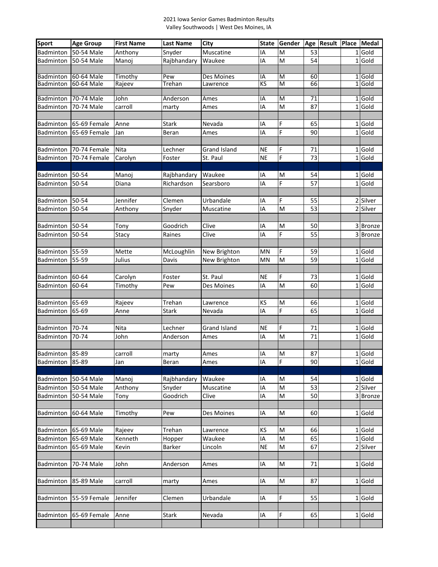## 2021 Iowa Senior Games Badminton Results Valley Southwoods | West Des Moines, IA

| <b>Sport</b>    | <b>Age Group</b> | <b>First Name</b> | <b>Last Name</b>       | City                | <b>State</b> | Gender                                                                                | Age                   | Result | Place Medal        |
|-----------------|------------------|-------------------|------------------------|---------------------|--------------|---------------------------------------------------------------------------------------|-----------------------|--------|--------------------|
| Badminton       | 50-54 Male       | Anthony           | Snyder                 | Muscatine           | IA           | M                                                                                     | 53                    |        | 1 Gold             |
| Badminton       | 50-54 Male       | Manoj             | Rajbhandary            | Waukee              | IA           | M                                                                                     | 54                    |        | 1 Gold             |
|                 |                  |                   |                        |                     |              |                                                                                       |                       |        |                    |
| Badminton       | 60-64 Male       | Timothy           | Pew                    | <b>Des Moines</b>   | IA           | M                                                                                     | 60                    |        | 1 Gold             |
| Badminton       | 60-64 Male       | Rajeev            | Trehan                 | Lawrence            | KS           | M                                                                                     | 66                    |        | $1$ Gold           |
|                 |                  |                   |                        |                     |              |                                                                                       |                       |        |                    |
| Badminton       | 70-74 Male       | John              | Anderson               | Ames                | ΙA           | M<br>M                                                                                | 71                    |        | 1 Gold             |
| Badminton       | 70-74 Male       | carroll           | marty                  | Ames                | IA           |                                                                                       | 87                    |        | 1 Gold             |
|                 | 65-69 Female     |                   |                        |                     |              |                                                                                       |                       |        |                    |
| Badminton       |                  | Anne              | <b>Stark</b>           | Nevada              | IA           | F<br>F                                                                                | 65<br>90              |        | 1 Gold<br>$1$ Gold |
| Badminton       | 65-69 Female     | Jan               | Beran                  | Ames                | IA           |                                                                                       |                       |        |                    |
|                 |                  |                   |                        |                     |              |                                                                                       |                       |        |                    |
| Badminton       | 70-74 Female     | Nita              | Lechner                | <b>Grand Island</b> | ΝE           | F<br>F                                                                                | 71<br>73              |        | 1 Gold<br>1 Gold   |
| Badminton       | 70-74 Female     | Carolyn           | Foster                 | St. Paul            | <b>NE</b>    |                                                                                       |                       |        |                    |
|                 | 50-54            |                   |                        |                     |              |                                                                                       |                       |        | $1$ Gold           |
| Badminton       | 50-54            | Manoj             | Rajbhandary            | Waukee              | ΙA<br>IA     | M<br>$\overline{F}$                                                                   | 54<br>$\overline{57}$ |        | $1$ Gold           |
| Badminton       |                  | Diana             | Richardson             | Searsboro           |              |                                                                                       |                       |        |                    |
|                 |                  |                   |                        |                     |              |                                                                                       |                       |        |                    |
| Badminton       | 50-54<br>50-54   | Jennifer          | Clemen                 | Urbandale           | ١A           | F<br>M                                                                                | 55                    |        | 2 Silver           |
| Badminton       |                  | Anthony           | Snyder                 | Muscatine           | IA           |                                                                                       | 53                    |        | 2 Silver           |
|                 |                  |                   |                        |                     |              |                                                                                       |                       |        |                    |
| Badminton       | 50-54            | Tony              | Goodrich               | Clive               | IA           | M<br>F                                                                                | 50                    |        | 3 Bronze           |
| Badminton       | 50-54            | Stacy             | Raines                 | Clive               | IA           |                                                                                       | 55                    |        | 3 Bronze           |
|                 |                  |                   |                        |                     |              |                                                                                       |                       |        |                    |
| Badminton       | 55-59            | Mette             | McLoughlin             | New Brighton        | MN           | F                                                                                     | 59                    |        | 1 Gold<br>$1$ Gold |
| Badminton       | 55-59            | Julius            | Davis                  | New Brighton        | MN           | M                                                                                     | 59                    |        |                    |
|                 |                  |                   |                        |                     |              |                                                                                       |                       |        |                    |
| Badminton       | 60-64            | Carolyn           | Foster                 | St. Paul            | NE           | F<br>$\overline{M}$                                                                   | 73<br>60              |        | 1 Gold<br>1 Gold   |
| Badminton       | 60-64            | Timothy           | Pew                    | Des Moines          | IA           |                                                                                       |                       |        |                    |
|                 |                  |                   |                        |                     |              |                                                                                       |                       |        |                    |
| Badminton       | 65-69<br>65-69   | Rajeev            | Trehan<br><b>Stark</b> | Lawrence            | ΚS<br>IA     | M<br>F                                                                                | 66<br>65              |        | 1 Gold<br>$1$ Gold |
| Badminton       |                  | Anne              |                        | Nevada              |              |                                                                                       |                       |        |                    |
| Badminton       | 70-74            | Nita              | Lechner                | Grand Island        | <b>NE</b>    | F                                                                                     | 71                    |        | 1 Gold             |
| Badminton       | 70-74            | John              | Anderson               | Ames                | IA           | M                                                                                     | 71                    |        | 1 Gold             |
|                 |                  |                   |                        |                     |              |                                                                                       |                       |        |                    |
| Badminton       | 85-89            | carroll           | marty                  | Ames                | IA           | M                                                                                     | 87                    |        | 1 Gold             |
| Badminton 85-89 |                  | Jan               | Beran                  | Ames                | IA           | F                                                                                     | 90                    |        | 1 Gold             |
|                 |                  |                   |                        |                     |              |                                                                                       |                       |        |                    |
| Badminton       | 50-54 Male       | Manoj             | Rajbhandary            | Waukee              | IA           | M                                                                                     | 54                    |        | $1$ Gold           |
| Badminton       | 50-54 Male       | Anthony           | Snyder                 | Muscatine           | IA           | M                                                                                     | 53                    |        | 2 Silver           |
| Badminton       | 50-54 Male       | Tony              | Goodrich               | Clive               | IA           | $\mathsf{M}% _{T}=\mathsf{M}_{T}\!\left( a,b\right) ,\ \mathsf{M}_{T}=\mathsf{M}_{T}$ | 50                    |        | 3 Bronze           |
|                 |                  |                   |                        |                     |              |                                                                                       |                       |        |                    |
| Badminton       | 60-64 Male       | Timothy           | Pew                    | Des Moines          | ΙA           | M                                                                                     | 60                    |        | 1 Gold             |
|                 |                  |                   |                        |                     |              |                                                                                       |                       |        |                    |
| Badminton       | 65-69 Male       | Rajeev            | Trehan                 | Lawrence            | ΚS           | M                                                                                     | 66                    |        | $1$ Gold           |
| Badminton       | 65-69 Male       | Kenneth           | Hopper                 | Waukee              | ΙA           | M                                                                                     | 65                    |        | 1 Gold             |
| Badminton       | 65-69 Male       | Kevin             | Barker                 | Lincoln             | <b>NE</b>    | M                                                                                     | 67                    |        | 2 Silver           |
|                 |                  |                   |                        |                     |              |                                                                                       |                       |        |                    |
| Badminton       | 70-74 Male       | John              | Anderson               | Ames                | IA           | M                                                                                     | 71                    |        | 1 Gold             |
|                 |                  |                   |                        |                     |              |                                                                                       |                       |        |                    |
| Badminton       | 85-89 Male       | carroll           | marty                  | Ames                | ΙA           | M                                                                                     | 87                    |        | 1 Gold             |
|                 |                  |                   |                        |                     |              |                                                                                       |                       |        |                    |
| Badminton       | 55-59 Female     | Jennifer          | Clemen                 | Urbandale           | ΙA           | F                                                                                     | 55                    |        | 1 Gold             |
|                 |                  |                   |                        |                     |              |                                                                                       |                       |        |                    |
| Badminton       | 65-69 Female     | Anne              | Stark                  | Nevada              | IA           | F                                                                                     | 65                    |        | 1 Gold             |
|                 |                  |                   |                        |                     |              |                                                                                       |                       |        |                    |
|                 |                  |                   |                        |                     |              |                                                                                       |                       |        |                    |